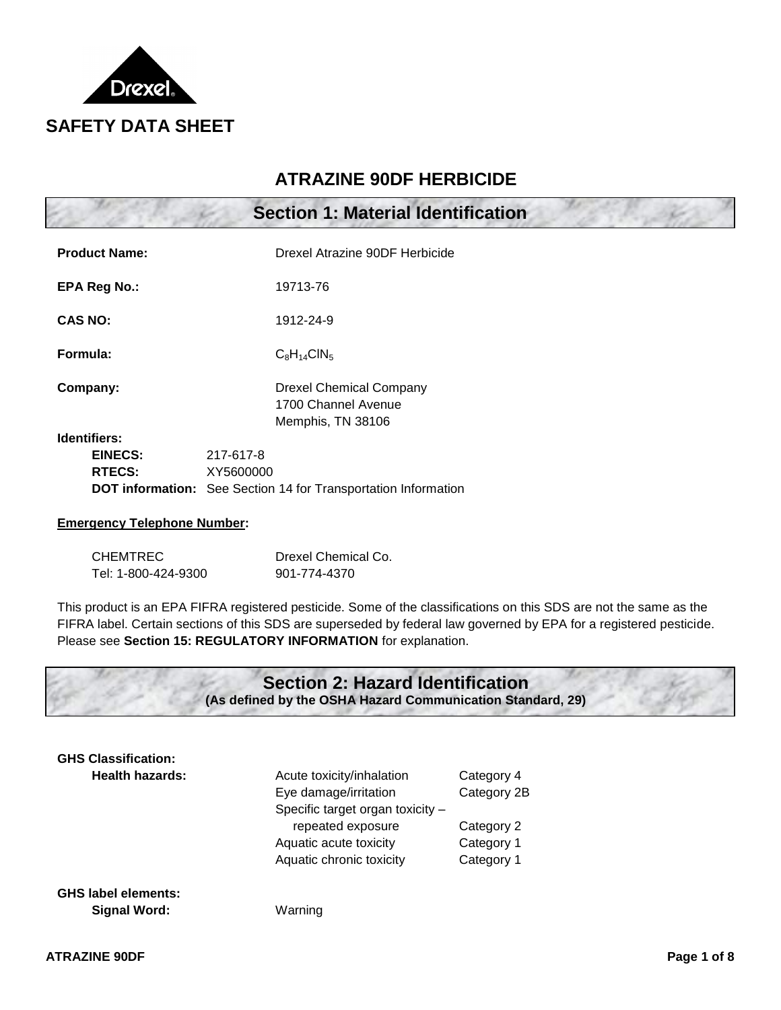

# **ATRAZINE 90DF HERBICIDE**

|                                                 | <b>Section 1: Material Identification</b>                                                       |  |
|-------------------------------------------------|-------------------------------------------------------------------------------------------------|--|
| <b>Product Name:</b>                            | Drexel Atrazine 90DF Herbicide                                                                  |  |
| <b>EPA Reg No.:</b>                             | 19713-76                                                                                        |  |
| <b>CAS NO:</b>                                  | 1912-24-9                                                                                       |  |
| Formula:                                        | $C_8H_{14}CIN_5$                                                                                |  |
| Company:                                        | <b>Drexel Chemical Company</b><br>1700 Channel Avenue<br>Memphis, TN 38106                      |  |
| <b>Identifiers:</b><br>EINECS:<br><b>RTECS:</b> | 217-617-8<br>XY5600000<br><b>DOT information:</b> See Section 14 for Transportation Information |  |

### **Emergency Telephone Number:**

| <b>CHEMTREC</b>     | Drexel Chemical Co. |
|---------------------|---------------------|
| Tel: 1-800-424-9300 | 901-774-4370        |

This product is an EPA FIFRA registered pesticide. Some of the classifications on this SDS are not the same as the FIFRA label. Certain sections of this SDS are superseded by federal law governed by EPA for a registered pesticide. Please see **Section 15: REGULATORY INFORMATION** for explanation.



| <b>GHS Classification:</b> |                                  |             |  |
|----------------------------|----------------------------------|-------------|--|
| <b>Health hazards:</b>     | Acute toxicity/inhalation        | Category 4  |  |
|                            | Eye damage/irritation            | Category 2B |  |
|                            | Specific target organ toxicity - |             |  |
|                            | repeated exposure                | Category 2  |  |
|                            | Aquatic acute toxicity           | Category 1  |  |
|                            | Aquatic chronic toxicity         | Category 1  |  |
|                            |                                  |             |  |
|                            |                                  |             |  |

**GHS label elements: Signal Word:** Warning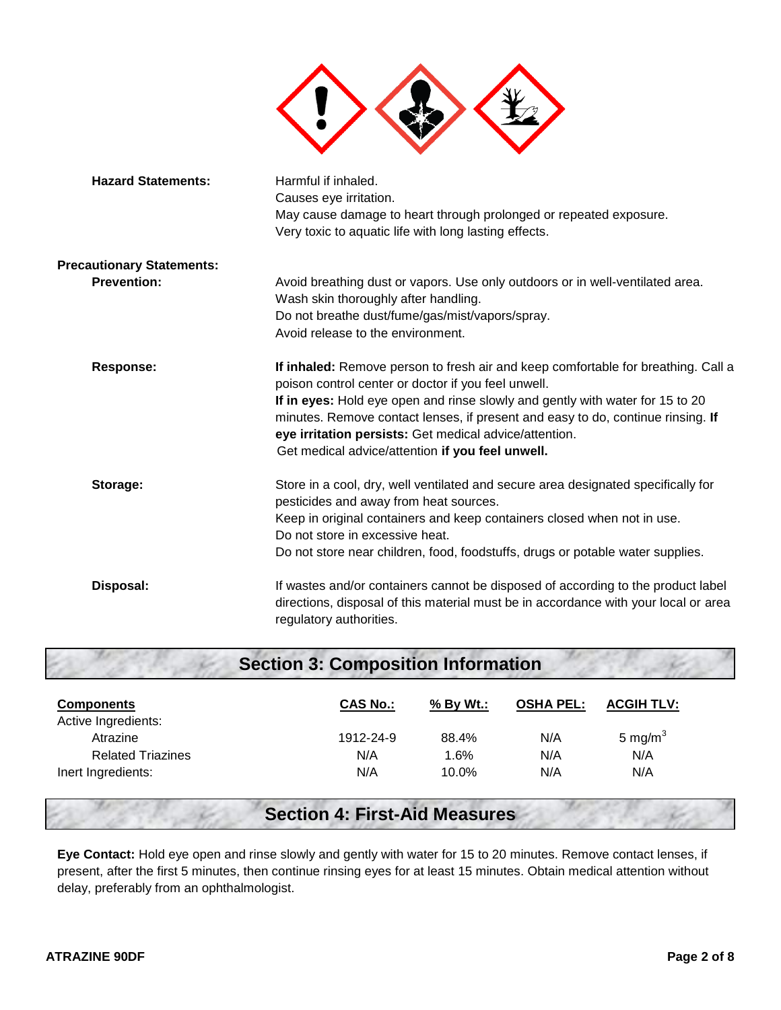

| <b>Section 3: Composition Information</b> |                 |           |                  |                   |
|-------------------------------------------|-----------------|-----------|------------------|-------------------|
| <b>Components</b>                         | <b>CAS No.:</b> | % By Wt.: | <b>OSHA PEL:</b> | <b>ACGIH TLV:</b> |
| Active Ingredients:                       |                 |           |                  |                   |
| Atrazine                                  | 1912-24-9       | 88.4%     | N/A              | 5 mg/m $3$        |
| <b>Related Triazines</b>                  | N/A             | 1.6%      | N/A              | N/A               |
| Inert Ingredients:                        | N/A             | 10.0%     | N/A              | N/A               |

# **Section 4: First-Aid Measures**

**Eye Contact:** Hold eye open and rinse slowly and gently with water for 15 to 20 minutes. Remove contact lenses, if present, after the first 5 minutes, then continue rinsing eyes for at least 15 minutes. Obtain medical attention without delay, preferably from an ophthalmologist.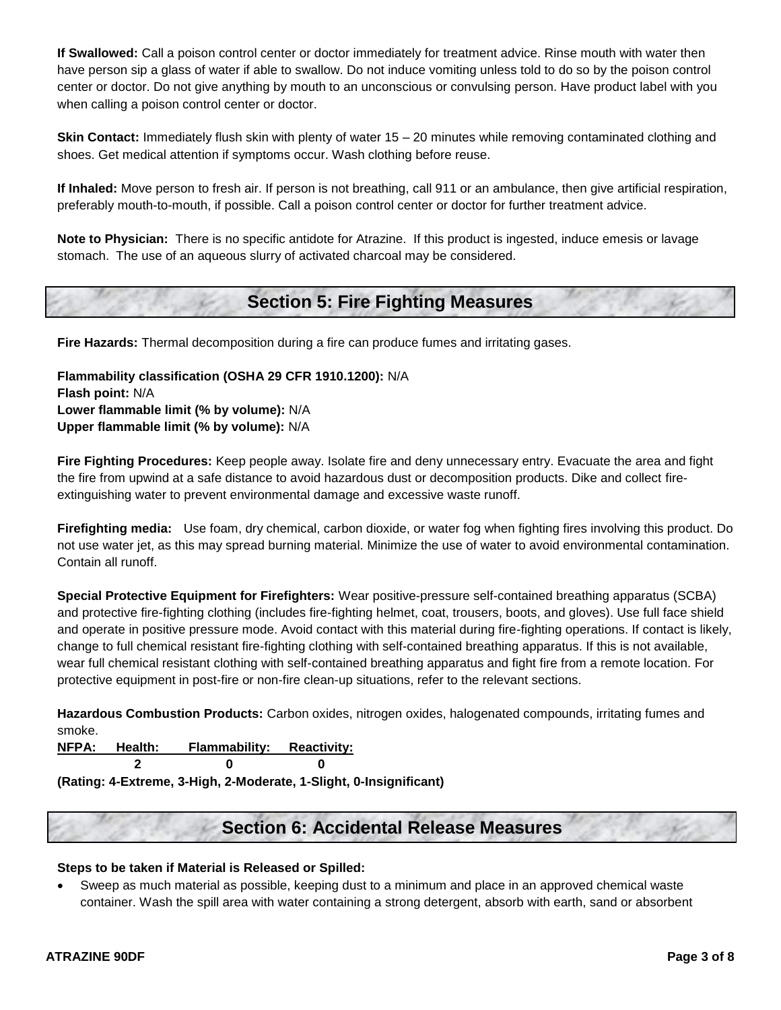**If Swallowed:** Call a poison control center or doctor immediately for treatment advice. Rinse mouth with water then have person sip a glass of water if able to swallow. Do not induce vomiting unless told to do so by the poison control center or doctor. Do not give anything by mouth to an unconscious or convulsing person. Have product label with you when calling a poison control center or doctor.

**Skin Contact:** Immediately flush skin with plenty of water 15 – 20 minutes while removing contaminated clothing and shoes. Get medical attention if symptoms occur. Wash clothing before reuse.

**If Inhaled:** Move person to fresh air. If person is not breathing, call 911 or an ambulance, then give artificial respiration, preferably mouth-to-mouth, if possible. Call a poison control center or doctor for further treatment advice.

**Note to Physician:** There is no specific antidote for Atrazine. If this product is ingested, induce emesis or lavage stomach. The use of an aqueous slurry of activated charcoal may be considered.

# **Section 5: Fire Fighting Measures**

**Fire Hazards:** Thermal decomposition during a fire can produce fumes and irritating gases.

**Flammability classification (OSHA 29 CFR 1910.1200):** N/A **Flash point:** N/A **Lower flammable limit (% by volume):** N/A **Upper flammable limit (% by volume):** N/A

**Fire Fighting Procedures:** Keep people away. Isolate fire and deny unnecessary entry. Evacuate the area and fight the fire from upwind at a safe distance to avoid hazardous dust or decomposition products. Dike and collect fireextinguishing water to prevent environmental damage and excessive waste runoff.

**Firefighting media:** Use foam, dry chemical, carbon dioxide, or water fog when fighting fires involving this product. Do not use water jet, as this may spread burning material. Minimize the use of water to avoid environmental contamination. Contain all runoff.

**Special Protective Equipment for Firefighters:** Wear positive-pressure self-contained breathing apparatus (SCBA) and protective fire-fighting clothing (includes fire-fighting helmet, coat, trousers, boots, and gloves). Use full face shield and operate in positive pressure mode. Avoid contact with this material during fire-fighting operations. If contact is likely, change to full chemical resistant fire-fighting clothing with self-contained breathing apparatus. If this is not available, wear full chemical resistant clothing with self-contained breathing apparatus and fight fire from a remote location. For protective equipment in post-fire or non-fire clean-up situations, refer to the relevant sections.

**Hazardous Combustion Products:** Carbon oxides, nitrogen oxides, halogenated compounds, irritating fumes and smoke.

| NFPA: Health: | <b>Flammability: Reactivity:</b> |  |
|---------------|----------------------------------|--|
|               |                                  |  |

**(Rating: 4-Extreme, 3-High, 2-Moderate, 1-Slight, 0-Insignificant)**

## **Section 6: Accidental Release Measures**

### **Steps to be taken if Material is Released or Spilled:**

 Sweep as much material as possible, keeping dust to a minimum and place in an approved chemical waste container. Wash the spill area with water containing a strong detergent, absorb with earth, sand or absorbent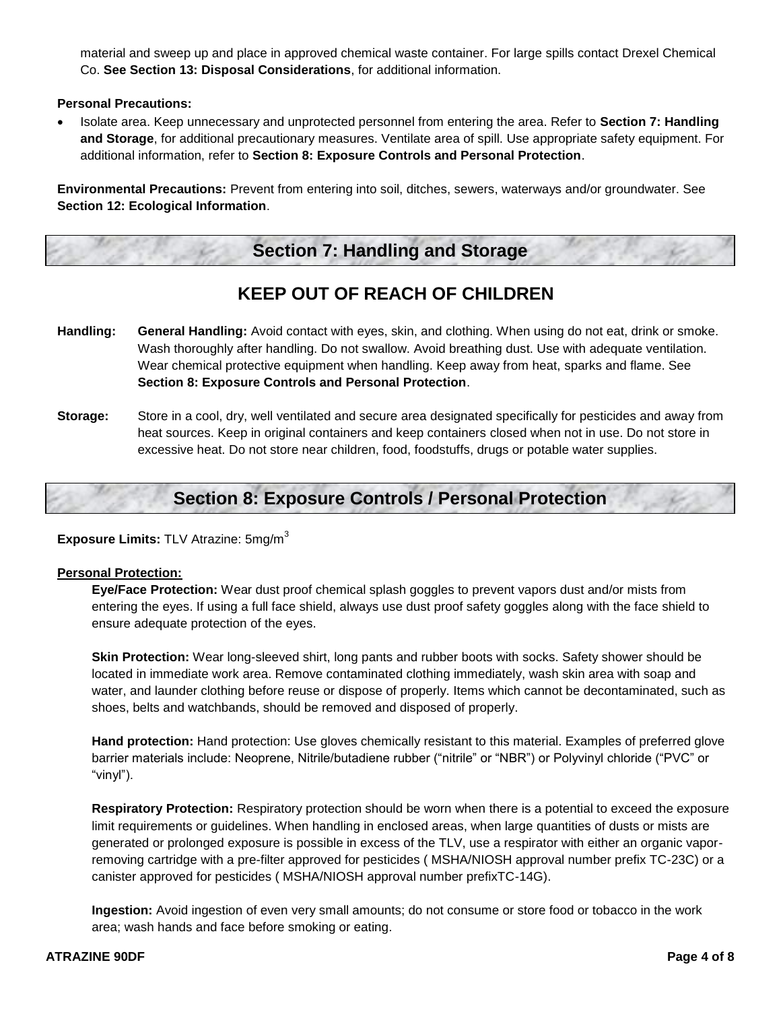material and sweep up and place in approved chemical waste container. For large spills contact Drexel Chemical Co. **See Section 13: Disposal Considerations**, for additional information.

**Personal Precautions:** 

 Isolate area. Keep unnecessary and unprotected personnel from entering the area. Refer to **Section 7: Handling and Storage**, for additional precautionary measures. Ventilate area of spill. Use appropriate safety equipment. For additional information, refer to **Section 8: Exposure Controls and Personal Protection**.

**Environmental Precautions:** Prevent from entering into soil, ditches, sewers, waterways and/or groundwater. See **Section 12: Ecological Information**.

# **Section 7: Handling and Storage**

# **KEEP OUT OF REACH OF CHILDREN**

- **Handling: General Handling:** Avoid contact with eyes, skin, and clothing. When using do not eat, drink or smoke. Wash thoroughly after handling. Do not swallow. Avoid breathing dust. Use with adequate ventilation. Wear chemical protective equipment when handling. Keep away from heat, sparks and flame. See **Section 8: Exposure Controls and Personal Protection**.
- **Storage:** Store in a cool, dry, well ventilated and secure area designated specifically for pesticides and away from heat sources. Keep in original containers and keep containers closed when not in use. Do not store in excessive heat. Do not store near children, food, foodstuffs, drugs or potable water supplies.

# **Section 8: Exposure Controls / Personal Protection**

**Exposure Limits: TLV Atrazine: 5mg/m<sup>3</sup>** 

### **Personal Protection:**

**Eye/Face Protection:** Wear dust proof chemical splash goggles to prevent vapors dust and/or mists from entering the eyes. If using a full face shield, always use dust proof safety goggles along with the face shield to ensure adequate protection of the eyes.

**Skin Protection:** Wear long-sleeved shirt, long pants and rubber boots with socks. Safety shower should be located in immediate work area. Remove contaminated clothing immediately, wash skin area with soap and water, and launder clothing before reuse or dispose of properly. Items which cannot be decontaminated, such as shoes, belts and watchbands, should be removed and disposed of properly.

**Hand protection:** Hand protection: Use gloves chemically resistant to this material. Examples of preferred glove barrier materials include: Neoprene, Nitrile/butadiene rubber ("nitrile" or "NBR") or Polyvinyl chloride ("PVC" or "vinyl").

**Respiratory Protection:** Respiratory protection should be worn when there is a potential to exceed the exposure limit requirements or guidelines. When handling in enclosed areas, when large quantities of dusts or mists are generated or prolonged exposure is possible in excess of the TLV, use a respirator with either an organic vaporremoving cartridge with a pre-filter approved for pesticides ( MSHA/NIOSH approval number prefix TC-23C) or a canister approved for pesticides ( MSHA/NIOSH approval number prefixTC-14G).

**Ingestion:** Avoid ingestion of even very small amounts; do not consume or store food or tobacco in the work area; wash hands and face before smoking or eating.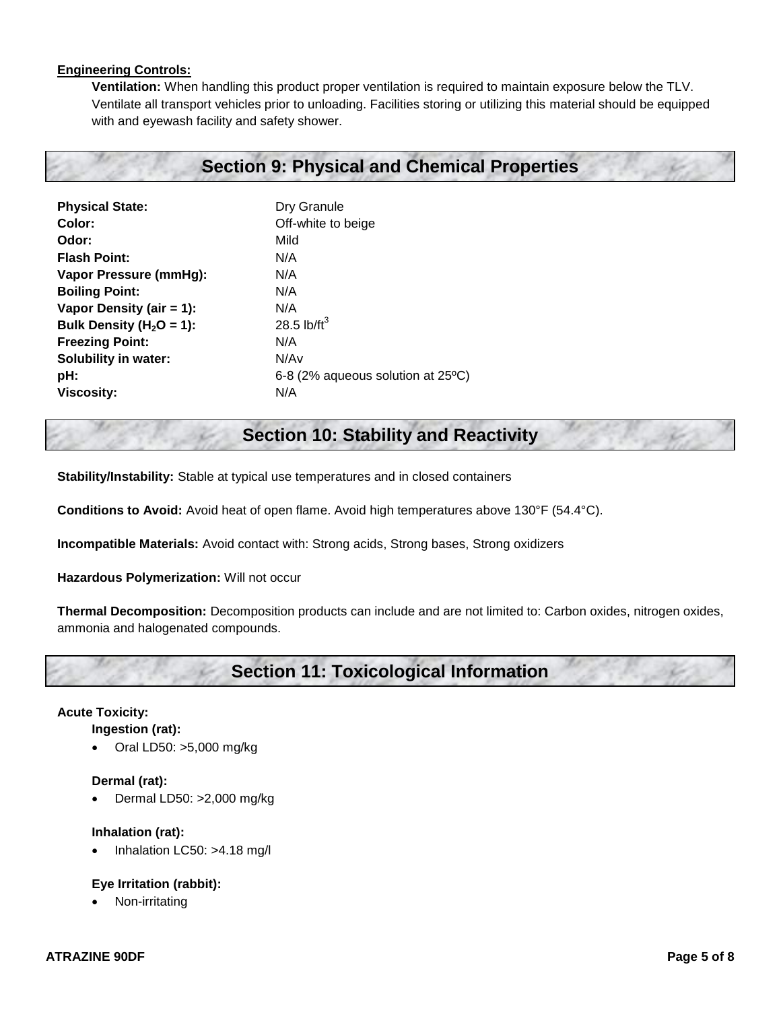### **Engineering Controls:**

**Ventilation:** When handling this product proper ventilation is required to maintain exposure below the TLV. Ventilate all transport vehicles prior to unloading. Facilities storing or utilizing this material should be equipped with and eyewash facility and safety shower.

## **Section 9: Physical and Chemical Properties**

| Dry Granule                       |
|-----------------------------------|
| Off-white to beige                |
| Mild                              |
| N/A                               |
| N/A                               |
| N/A                               |
| N/A                               |
| 28.5 lb/ $ft^3$                   |
| N/A                               |
| N/Av                              |
| 6-8 (2% aqueous solution at 25°C) |
| N/A                               |
|                                   |

## **Section 10: Stability and Reactivity**

**Stability/Instability:** Stable at typical use temperatures and in closed containers

**Conditions to Avoid:** Avoid heat of open flame. Avoid high temperatures above 130°F (54.4°C).

**Incompatible Materials:** Avoid contact with: Strong acids, Strong bases, Strong oxidizers

**Hazardous Polymerization:** Will not occur

**Thermal Decomposition:** Decomposition products can include and are not limited to: Carbon oxides, nitrogen oxides, ammonia and halogenated compounds.

# **Section 11: Toxicological Information**

### **Acute Toxicity:**

#### **Ingestion (rat):**

Oral LD50: >5,000 mg/kg

#### **Dermal (rat):**

Dermal LD50: >2,000 mg/kg

#### **Inhalation (rat):**

Inhalation LC50: >4.18 mg/l

### **Eye Irritation (rabbit):**

Non-irritating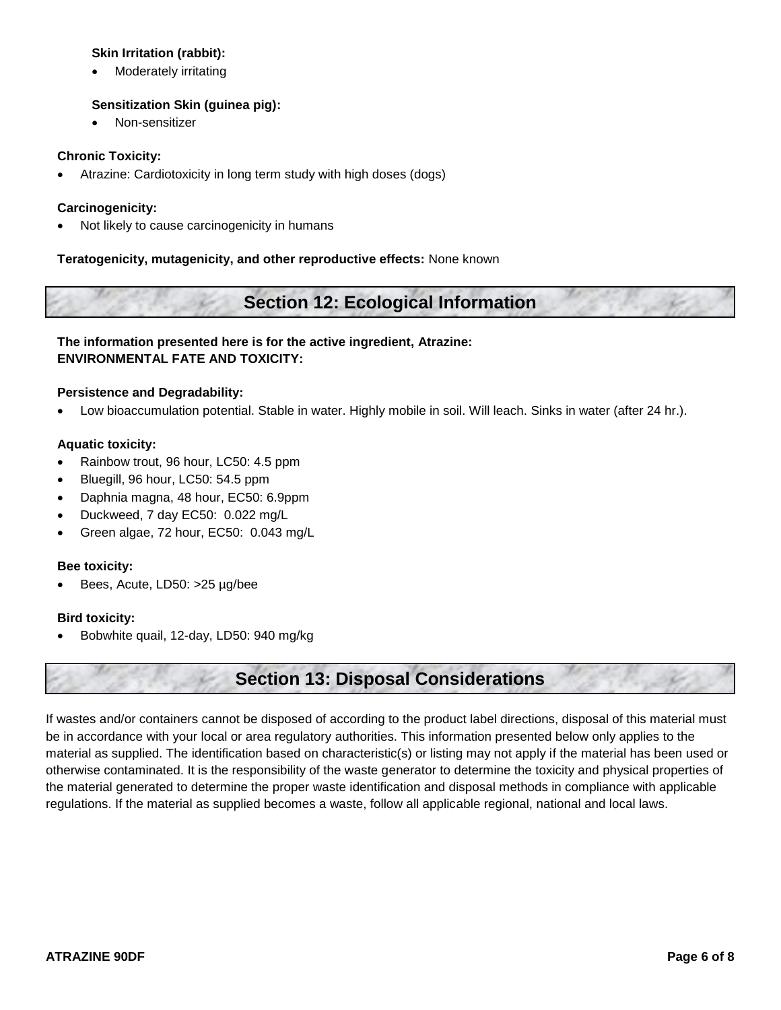### **Skin Irritation (rabbit):**

Moderately irritating

## **Sensitization Skin (guinea pig):**

Non-sensitizer

### **Chronic Toxicity:**

Atrazine: Cardiotoxicity in long term study with high doses (dogs)

## **Carcinogenicity:**

Not likely to cause carcinogenicity in humans

## **Teratogenicity, mutagenicity, and other reproductive effects:** None known

# **Section 12: Ecological Information**

## **The information presented here is for the active ingredient, Atrazine: ENVIRONMENTAL FATE AND TOXICITY:**

### **Persistence and Degradability:**

Low bioaccumulation potential. Stable in water. Highly mobile in soil. Will leach. Sinks in water (after 24 hr.).

### **Aquatic toxicity:**

- Rainbow trout, 96 hour, LC50: 4.5 ppm
- Bluegill, 96 hour, LC50: 54.5 ppm
- Daphnia magna, 48 hour, EC50: 6.9ppm
- Duckweed, 7 day EC50: 0.022 mg/L
- Green algae, 72 hour, EC50: 0.043 mg/L

### **Bee toxicity:**

Bees, Acute, LD50: >25 µg/bee

### **Bird toxicity:**

Bobwhite quail, 12-day, LD50: 940 mg/kg

# **Section 13: Disposal Considerations**

If wastes and/or containers cannot be disposed of according to the product label directions, disposal of this material must be in accordance with your local or area regulatory authorities. This information presented below only applies to the material as supplied. The identification based on characteristic(s) or listing may not apply if the material has been used or otherwise contaminated. It is the responsibility of the waste generator to determine the toxicity and physical properties of the material generated to determine the proper waste identification and disposal methods in compliance with applicable regulations. If the material as supplied becomes a waste, follow all applicable regional, national and local laws.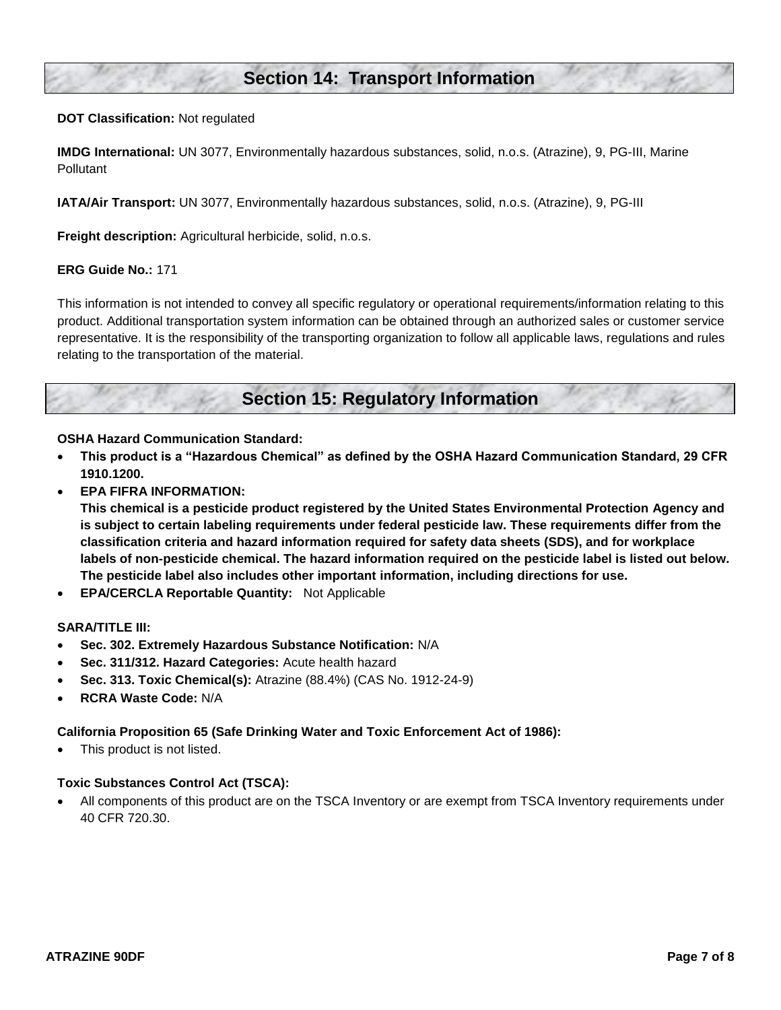## **Section 14: Transport Information**

#### **DOT Classification:** Not regulated

**IMDG International:** UN 3077, Environmentally hazardous substances, solid, n.o.s. (Atrazine), 9, PG-III, Marine **Pollutant** 

**IATA/Air Transport:** UN 3077, Environmentally hazardous substances, solid, n.o.s. (Atrazine), 9, PG-III

**Freight description:** Agricultural herbicide, solid, n.o.s.

#### **ERG Guide No.:** 171

This information is not intended to convey all specific regulatory or operational requirements/information relating to this product. Additional transportation system information can be obtained through an authorized sales or customer service representative. It is the responsibility of the transporting organization to follow all applicable laws, regulations and rules relating to the transportation of the material.

## **Section 15: Regulatory Information**

#### **OSHA Hazard Communication Standard:**

- **This product is a "Hazardous Chemical" as defined by the OSHA Hazard Communication Standard, 29 CFR 1910.1200.**
- **EPA FIFRA INFORMATION:**

**This chemical is a pesticide product registered by the United States Environmental Protection Agency and is subject to certain labeling requirements under federal pesticide law. These requirements differ from the classification criteria and hazard information required for safety data sheets (SDS), and for workplace labels of non-pesticide chemical. The hazard information required on the pesticide label is listed out below. The pesticide label also includes other important information, including directions for use.**

**EPA/CERCLA Reportable Quantity:** Not Applicable

#### **SARA/TITLE III:**

- **Sec. 302. Extremely Hazardous Substance Notification:** N/A
- **Sec. 311/312. Hazard Categories:** Acute health hazard
- **Sec. 313. Toxic Chemical(s):** Atrazine (88.4%) (CAS No. 1912-24-9)
- **RCRA Waste Code:** N/A

#### **California Proposition 65 (Safe Drinking Water and Toxic Enforcement Act of 1986):**

This product is not listed.

#### **Toxic Substances Control Act (TSCA):**

 All components of this product are on the TSCA Inventory or are exempt from TSCA Inventory requirements under 40 CFR 720.30.